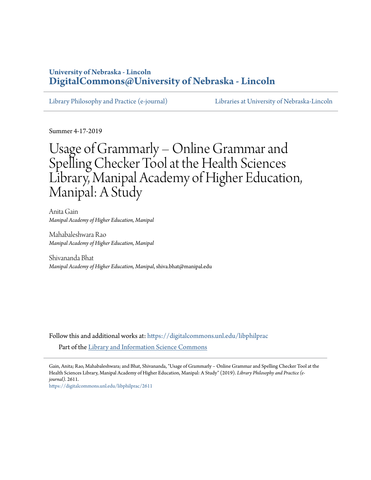# **University of Nebraska - Lincoln [DigitalCommons@University of Nebraska - Lincoln](https://digitalcommons.unl.edu?utm_source=digitalcommons.unl.edu%2Flibphilprac%2F2611&utm_medium=PDF&utm_campaign=PDFCoverPages)**

[Library Philosophy and Practice \(e-journal\)](https://digitalcommons.unl.edu/libphilprac?utm_source=digitalcommons.unl.edu%2Flibphilprac%2F2611&utm_medium=PDF&utm_campaign=PDFCoverPages) [Libraries at University of Nebraska-Lincoln](https://digitalcommons.unl.edu/libraries?utm_source=digitalcommons.unl.edu%2Flibphilprac%2F2611&utm_medium=PDF&utm_campaign=PDFCoverPages)

Summer 4-17-2019

# Usage of Grammarly – Online Grammar and Spelling Checker Tool at the Health Sciences Library, Manipal Academy of Higher Education, Manipal: A Study

Anita Gain *Manipal Academy of Higher Education, Manipal*

Mahabaleshwara Rao *Manipal Academy of Higher Education, Manipal*

Shivananda Bhat *Manipal Academy of Higher Education, Manipal*, shiva.bhat@manipal.edu

Follow this and additional works at: [https://digitalcommons.unl.edu/libphilprac](https://digitalcommons.unl.edu/libphilprac?utm_source=digitalcommons.unl.edu%2Flibphilprac%2F2611&utm_medium=PDF&utm_campaign=PDFCoverPages) Part of the [Library and Information Science Commons](http://network.bepress.com/hgg/discipline/1018?utm_source=digitalcommons.unl.edu%2Flibphilprac%2F2611&utm_medium=PDF&utm_campaign=PDFCoverPages)

Gain, Anita; Rao, Mahabaleshwara; and Bhat, Shivananda, "Usage of Grammarly – Online Grammar and Spelling Checker Tool at the Health Sciences Library, Manipal Academy of Higher Education, Manipal: A Study" (2019). *Library Philosophy and Practice (ejournal)*. 2611.

[https://digitalcommons.unl.edu/libphilprac/2611](https://digitalcommons.unl.edu/libphilprac/2611?utm_source=digitalcommons.unl.edu%2Flibphilprac%2F2611&utm_medium=PDF&utm_campaign=PDFCoverPages)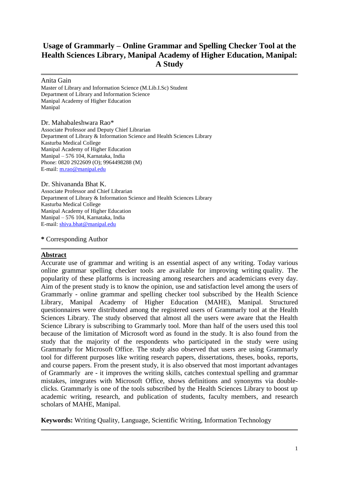# **Usage of Grammarly – Online Grammar and Spelling Checker Tool at the Health Sciences Library, Manipal Academy of Higher Education, Manipal: A Study**

Anita Gain

Master of Library and Information Science (M.Lib.I.Sc) Student Department of Library and Information Science Manipal Academy of Higher Education Manipal

Dr. Mahabaleshwara Rao\* Associate Professor and Deputy Chief Librarian Department of Library & Information Science and Health Sciences Library Kasturba Medical College Manipal Academy of Higher Education Manipal – 576 104, Karnataka, India Phone: 0820 2922609 (O); 9964498288 (M) E-mail: [m.rao@manipal.edu](mailto:m.rao@manipal.edu) 

Dr. Shivananda Bhat K. Associate Professor and Chief Librarian Department of Library & Information Science and Health Sciences Library Kasturba Medical College Manipal Academy of Higher Education Manipal – 576 104, Karnataka, India E-mail: [shiva.bhat@manipal.edu](mailto:shiva.bhat@manipal.edu) 

**\*** Corresponding Author

#### **Abstract**

Accurate use of grammar and writing is an essential aspect of any writing. Today various online grammar spelling checker tools are available for improving writing quality. The popularity of these platforms is increasing among researchers and academicians every day. Aim of the present study is to know the opinion, use and satisfaction level among the users of Grammarly - online grammar and spelling checker tool subscribed by the Health Science Library, Manipal Academy of Higher Education (MAHE), Manipal. Structured questionnaires were distributed among the registered users of Grammarly tool at the Health Sciences Library. The study observed that almost all the users were aware that the Health Science Library is subscribing to Grammarly tool. More than half of the users used this tool because of the limitation of Microsoft word as found in the study. It is also found from the study that the majority of the respondents who participated in the study were using Grammarly for Microsoft Office. The study also observed that users are using Grammarly tool for different purposes like writing research papers, dissertations, theses, books, reports, and course papers. From the present study, it is also observed that most important advantages of Grammarly are - it improves the writing skills, catches contextual spelling and grammar mistakes, integrates with Microsoft Office, shows definitions and synonyms via doubleclicks. Grammarly is one of the tools subscribed by the Health Sciences Library to boost up academic writing, research, and publication of students, faculty members, and research scholars of MAHE, Manipal.

**Keywords:** Writing Quality, Language, Scientific Writing, Information Technology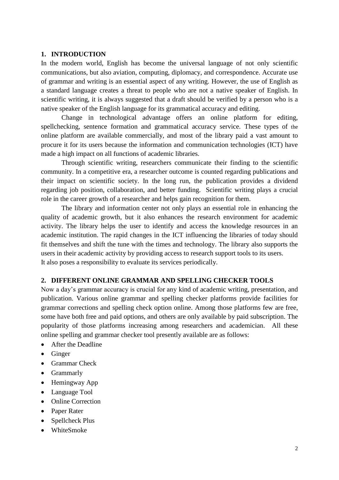#### **1. INTRODUCTION**

In the modern world, English has become the universal language of not only scientific communications, but also aviation, computing, diplomacy, and correspondence. Accurate use of grammar and writing is an essential aspect of any writing. However, the use of English as a standard language creates a threat to people who are not a native speaker of English. In scientific writing, it is always suggested that a draft should be verified by a person who is a native speaker of the English language for its grammatical accuracy and editing.

Change in technological advantage offers an online platform for editing, spellchecking, sentence formation and grammatical accuracy service. These types of the online platform are available commercially, and most of the library paid a vast amount to procure it for its users because the information and communication technologies (ICT) have made a high impact on all functions of academic libraries.

Through scientific writing, researchers communicate their finding to the scientific community. In a competitive era, a researcher outcome is counted regarding publications and their impact on scientific society. In the long run, the publication provides a dividend regarding job position, collaboration, and better funding. Scientific writing plays a crucial role in the career growth of a researcher and helps gain recognition for them.

The library and information center not only plays an essential role in enhancing the quality of academic growth, but it also enhances the research environment for academic activity. The library helps the user to identify and access the knowledge resources in an academic institution. The rapid changes in the ICT influencing the libraries of today should fit themselves and shift the tune with the times and technology. The library also supports the users in their academic activity by providing access to research support tools to its users. It also poses a responsibility to evaluate its services periodically.

#### **2. DIFFERENT ONLINE GRAMMAR AND SPELLING CHECKER TOOLS**

Now a day's grammar accuracy is crucial for any kind of academic writing, presentation, and publication. Various online grammar and spelling checker platforms provide facilities for grammar corrections and spelling check option online. Among those platforms few are free, some have both free and paid options, and others are only available by paid subscription. The popularity of those platforms increasing among researchers and academician. All these online spelling and grammar checker tool presently available are as follows:

- After the Deadline
- Ginger
- [Grammar](http://www.grammarcheck.net/editor/) Check
- Grammarly
- Hemingway App
- Language Tool
- Online Correction
- Paper Rater
- Spellcheck Plus
- WhiteSmoke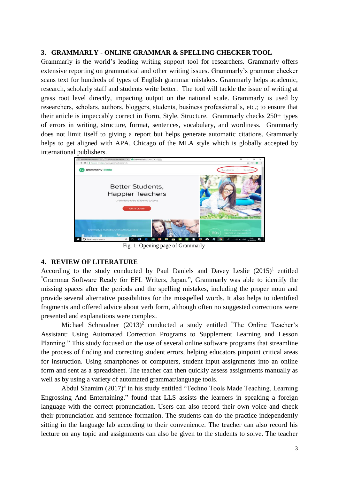#### **3. GRAMMARLY - ONLINE GRAMMAR & SPELLING CHECKER TOOL**

Grammarly is the world's leading writing support tool for researchers. Grammarly offers extensive reporting on grammatical and other writing issues. Grammarly's grammar checker scans text for hundreds of types of English grammar mistakes. Grammarly helps academic, research, scholarly staff and students write better. The tool will tackle the issue of writing at grass root level directly, impacting output on the national scale. Grammarly is used by researchers, scholars, authors, bloggers, students, business professional's, etc.; to ensure that their article is impeccably correct in Form, Style, Structure. Grammarly checks 250+ types of errors in writing, structure, format, sentences, vocabulary, and wordiness. Grammarly does not limit itself to giving a report but helps generate automatic citations. Grammarly helps to get aligned with APA, Chicago of the MLA style which is globally accepted by international publishers.



Fig. 1: Opening page of Grammarly

#### **4. REVIEW OF LITERATURE**

According to the study conducted by Paul Daniels and Davey Leslie  $(2015)^1$  entitled "Grammar Software Ready for EFL Writers, Japan.", Grammarly was able to identify the missing spaces after the periods and the spelling mistakes, including the proper noun and provide several alternative possibilities for the misspelled words. It also helps to identified fragments and offered advice about verb form, although often no suggested corrections were presented and explanations were complex.

Michael Schraudner  $(2013)^2$  conducted a study entitled "The Online Teacher's Assistant: Using Automated Correction Programs to Supplement Learning and Lesson Planning." This study focused on the use of several online software programs that streamline the process of finding and correcting student errors, helping educators pinpoint critical areas for instruction. Using smartphones or computers, student input assignments into an online form and sent as a spreadsheet. The teacher can then quickly assess assignments manually as well as by using a variety of automated grammar/language tools.

Abdul Shamim  $(2017)^3$  in his study entitled "Techno Tools Made Teaching, Learning Engrossing And Entertaining." found that LLS assists the learners in speaking a foreign language with the correct pronunciation. Users can also record their own voice and check their pronunciation and sentence formation. The students can do the practice independently sitting in the language lab according to their convenience. The teacher can also record his lecture on any topic and assignments can also be given to the students to solve. The teacher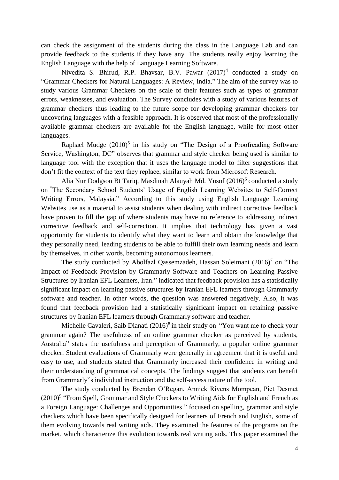can check the assignment of the students during the class in the Language Lab and can provide feedback to the students if they have any. The students really enjoy learning the English Language with the help of Language Learning Software.

Nivedita S. Bhirud, R.P. Bhavsar, B.V. Pawar  $(2017)^4$  conducted a study on "Grammar Checkers for Natural Languages: A Review, India." The aim of the survey was to study various Grammar Checkers on the scale of their features such as types of grammar errors, weaknesses, and evaluation. The Survey concludes with a study of various features of grammar checkers thus leading to the future scope for developing grammar checkers for uncovering languages with a feasible approach. It is observed that most of the professionally available grammar checkers are available for the English language, while for most other languages.

Raphael Mudge (2010)<sup>5</sup> in his study on "The Design of a Proofreading Software Service, Washington, DC" observes that grammar and style checker being used is similar to language tool with the exception that it uses the language model to filter suggestions that don't fit the context of the text they replace, similar to work from Microsoft Research.

Alia Nur Dodgson Bt Tariq, Masdinah Alauyah Md. Yusof  $(2016)^6$  conducted a study on "The Secondary School Students' Usage of English Learning Websites to Self-Correct Writing Errors, Malaysia." According to this study using English Language Learning Websites use as a material to assist students when dealing with indirect corrective feedback have proven to fill the gap of where students may have no reference to addressing indirect corrective feedback and self-correction. It implies that technology has given a vast opportunity for students to identify what they want to learn and obtain the knowledge that they personally need, leading students to be able to fulfill their own learning needs and learn by themselves, in other words, becoming autonomous learners.

The study conducted by Abolfazl Qassemzadeh, Hassan Soleimani  $(2016)^7$  on "The Impact of Feedback Provision by Grammarly Software and Teachers on Learning Passive Structures by Iranian EFL Learners, Iran." indicated that feedback provision has a statistically significant impact on learning passive structures by Iranian EFL learners through Grammarly software and teacher. In other words, the question was answered negatively. Also, it was found that feedback provision had a statistically significant impact on retaining passive structures by Iranian EFL learners through Grammarly software and teacher.

Michelle Cavaleri, Saib Dianati (2016)<sup>8</sup> in their study on "You want me to check your grammar again? The usefulness of an online grammar checker as perceived by students, Australia" states the usefulness and perception of Grammarly, a popular online grammar checker. Student evaluations of Grammarly were generally in agreement that it is useful and easy to use, and students stated that Grammarly increased their confidence in writing and their understanding of grammatical concepts. The findings suggest that students can benefit from Grammarly"s individual instruction and the self-access nature of the tool.

The study conducted by Brendan O'Regan, Annick Rivens Mompean, Piet Desmet (2010)<sup>9</sup> "From Spell, Grammar and Style Checkers to Writing Aids for English and French as a Foreign Language: Challenges and Opportunities." focused on spelling, grammar and style checkers which have been specifically designed for learners of French and English, some of them evolving towards real writing aids. They examined the features of the programs on the market, which characterize this evolution towards real writing aids. This paper examined the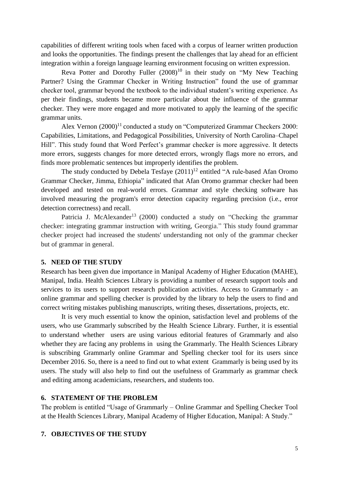capabilities of different writing tools when faced with a corpus of learner written production and looks the opportunities. The findings present the challenges that lay ahead for an efficient integration within a foreign language learning environment focusing on written expression.

Reva Potter and Dorothy Fuller  $(2008)^{10}$  in their study on "My New Teaching" Partner? Using the Grammar Checker in Writing Instruction" found the use of grammar checker tool, grammar beyond the textbook to the individual student's writing experience. As per their findings, students became more particular about the influence of the grammar checker. They were more engaged and more motivated to apply the learning of the specific grammar units.

Alex Vernon  $(2000)^{11}$  conducted a study on "Computerized Grammar Checkers 2000: Capabilities, Limitations, and Pedagogical Possibilities, University of North Carolina–Chapel Hill". This study found that Word Perfect's grammar checker is more aggressive. It detects more errors, suggests changes for more detected errors, wrongly flags more no errors, and finds more problematic sentences but improperly identifies the problem.

The study conducted by Debela Tesfaye  $(2011)^{12}$  entitled "A rule-based Afan Oromo" Grammar Checker, Jimma, Ethiopia" indicated that Afan Oromo grammar checker had been developed and tested on real-world errors. Grammar and style checking software has involved measuring the program's error detection capacity regarding precision (i.e., error detection correctness) and recall.

Patricia J. McAlexander<sup>13</sup> (2000) conducted a study on "Checking the grammar checker: integrating grammar instruction with writing, Georgia." This study found grammar checker project had increased the students' understanding not only of the grammar checker but of grammar in general.

#### **5. NEED OF THE STUDY**

Research has been given due importance in Manipal Academy of Higher Education (MAHE), Manipal, India. Health Sciences Library is providing a number of research support tools and services to its users to support research publication activities. Access to Grammarly - an online grammar and spelling checker is provided by the library to help the users to find and correct writing mistakes publishing manuscripts, writing theses, dissertations, projects, etc.

It is very much essential to know the opinion, satisfaction level and problems of the users, who use Grammarly subscribed by the Health Science Library. Further, it is essential to understand whether users are using various editorial features of Grammarly and also whether they are facing any problems in using the Grammarly. The Health Sciences Library is subscribing Grammarly online Grammar and Spelling checker tool for its users since December 2016. So, there is a need to find out to what extent Grammarly is being used by its users. The study will also help to find out the usefulness of Grammarly as grammar check and editing among academicians, researchers, and students too.

#### **6. STATEMENT OF THE PROBLEM**

The problem is entitled "Usage of Grammarly – Online Grammar and Spelling Checker Tool at the Health Sciences Library, Manipal Academy of Higher Education, Manipal: A Study."

#### **7. OBJECTIVES OF THE STUDY**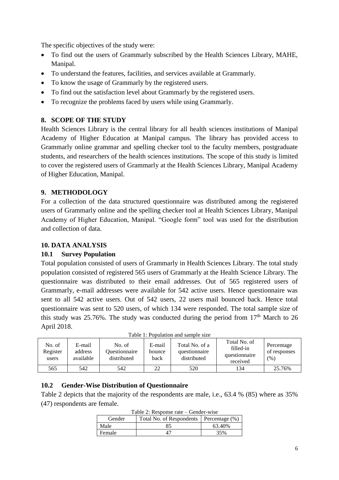The specific objectives of the study were:

- To find out the users of Grammarly subscribed by the Health Sciences Library, MAHE, Manipal.
- To understand the features, facilities, and services available at Grammarly.
- To know the usage of Grammarly by the registered users.
- To find out the satisfaction level about Grammarly by the registered users.
- To recognize the problems faced by users while using Grammarly.

## **8. SCOPE OF THE STUDY**

Health Sciences Library is the central library for all health sciences institutions of Manipal Academy of Higher Education at Manipal campus. The library has provided access to Grammarly online grammar and spelling checker tool to the faculty members, postgraduate students, and researchers of the health sciences institutions. The scope of this study is limited to cover the registered users of Grammarly at the Health Sciences Library, Manipal Academy of Higher Education, Manipal.

## **9. METHODOLOGY**

For a collection of the data structured questionnaire was distributed among the registered users of Grammarly online and the spelling checker tool at Health Sciences Library, Manipal Academy of Higher Education, Manipal. "Google form" tool was used for the distribution and collection of data.

#### **10. DATA ANALYSIS**

#### **10.1 Survey Population**

Total population consisted of users of Grammarly in Health Sciences Library. The total study population consisted of registered 565 users of Grammarly at the Health Science Library. The questionnaire was distributed to their email addresses. Out of 565 registered users of Grammarly, e-mail addresses were available for 542 active users. Hence questionnaire was sent to all 542 active users. Out of 542 users, 22 users mail bounced back. Hence total questionnaire was sent to 520 users, of which 134 were responded. The total sample size of this study was 25.76%. The study was conducted during the period from  $17<sup>th</sup>$  March to 26 April 2018.

|                    |                   |                         |                  |                                 | Total No. of              |                            |
|--------------------|-------------------|-------------------------|------------------|---------------------------------|---------------------------|----------------------------|
| No. of<br>Register | E-mail<br>address | No. of<br>Ouestionnaire | E-mail<br>bounce | Total No. of a<br>questionnaire | filled-in                 | Percentage<br>of responses |
| users              | available         | distributed             | back             | distributed                     | questionnaire<br>received | (% )                       |
| 565                | 542               | 542                     | 22               | 520                             | 134                       | 25.76%                     |

Table 1: Population and sample size

#### **10.2 Gender-Wise Distribution of Questionnaire**

Table 2 depicts that the majority of the respondents are male, i.e., 63.4 % (85) where as 35% (47) respondents are female.

| $10010 - 1100000$ |                                           |        |  |  |
|-------------------|-------------------------------------------|--------|--|--|
| Gender            | Total No. of Respondents   Percentage (%) |        |  |  |
| Male              | 85                                        | 63.40% |  |  |
| Female            |                                           | 35%    |  |  |

Table 2: Response rate – Gender-wise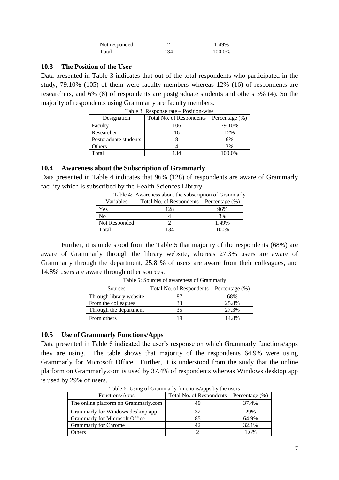| responded<br>Not: |            |
|-------------------|------------|
| iai               | $\gamma\%$ |

#### **10.3 The Position of the User**

Data presented in Table 3 indicates that out of the total respondents who participated in the study, 79.10% (105) of them were faculty members whereas 12% (16) of respondents are researchers, and 6% (8) of respondents are postgraduate students and others 3% (4). So the majority of respondents using Grammarly are faculty members.

| Designation           | Total No. of Respondents | Percentage (%) |
|-----------------------|--------------------------|----------------|
| Faculty               | 106                      | 79.10%         |
| Researcher            | 16                       | 12%            |
| Postgraduate students |                          | 6%             |
| Others                |                          | 3%             |
| Total                 | 134                      | 100.0%         |

| Table 3: Response rate – Position-wise |
|----------------------------------------|
|----------------------------------------|

#### **10.4 Awareness about the Subscription of Grammarly**

Data presented in Table 4 indicates that 96% (128) of respondents are aware of Grammarly facility which is subscribed by the Health Sciences Library.

| Table 4. Awareness about the subscription of Grammary |                          |                    |  |  |
|-------------------------------------------------------|--------------------------|--------------------|--|--|
| Variables                                             | Total No. of Respondents | Percentage $(\% )$ |  |  |
| Yes                                                   | 128                      | 96%                |  |  |
| No                                                    |                          | 3%                 |  |  |
| Not Responded                                         |                          | 1.49%              |  |  |
| Total                                                 | 134                      | 100%               |  |  |
|                                                       |                          |                    |  |  |

| Table 4: Awareness about the subscription of Grammarly |
|--------------------------------------------------------|
|--------------------------------------------------------|

Further, it is understood from the Table 5 that majority of the respondents (68%) are aware of Grammarly through the library website, whereas 27.3% users are aware of Grammarly through the department, 25.8 % of users are aware from their colleagues, and 14.8% users are aware through other sources.

| Sources                 | Total No. of Respondents | Percentage $(\% )$ |
|-------------------------|--------------------------|--------------------|
| Through library website |                          | 68%                |
| From the colleagues     | 33                       | 25.8%              |
| Through the department  |                          | 27.3%              |
| From others             | 19                       | 14.8%              |

Table 5: Sources of awareness of Grammarly

#### **10.5 Use of Grammarly Functions/Apps**

Data presented in Table 6 indicated the user's response on which Grammarly functions/apps they are using. The table shows that majority of the respondents 64.9% were using Grammarly for Microsoft Office. Further, it is understood from the study that the online platform on Grammarly.com is used by 37.4% of respondents whereas Windows desktop app is used by 29% of users.

| I able of Using of Grammarry functions/apps by the users |                          |                    |  |  |
|----------------------------------------------------------|--------------------------|--------------------|--|--|
| Functions/Apps                                           | Total No. of Respondents | Percentage $(\% )$ |  |  |
| The online platform on Grammarly.com                     | 49                       | 37.4%              |  |  |
| Grammarly for Windows desktop app                        | 32                       | 29%                |  |  |
| <b>Grammarly for Microsoft Office</b>                    | 85                       | 64.9%              |  |  |
| <b>Grammarly for Chrome</b>                              | 42.                      | 32.1%              |  |  |
| <b>Others</b>                                            |                          | .6%                |  |  |

 $T$ able  $\alpha$  is users at  $\alpha$  users by the users appeared to users by the users by the users by the users of users  $T$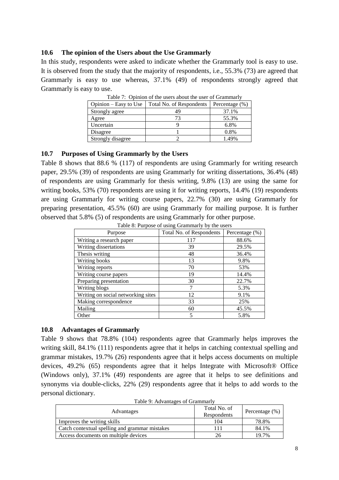#### **10.6 The opinion of the Users about the Use Grammarly**

In this study, respondents were asked to indicate whether the Grammarly tool is easy to use. It is observed from the study that the majority of respondents, i.e., 55.3% (73) are agreed that Grammarly is easy to use whereas, 37.1% (49) of respondents strongly agreed that Grammarly is easy to use.

| Table 7: Opinion of the users about the user of Grammariy |                          |                    |  |  |
|-----------------------------------------------------------|--------------------------|--------------------|--|--|
| Opinion – Easy to Use                                     | Total No. of Respondents | Percentage $(\% )$ |  |  |
| Strongly agree                                            | 49                       | 37.1%              |  |  |
| Agree                                                     |                          | 55.3%              |  |  |
| Uncertain                                                 |                          | 6.8%               |  |  |
| Disagree                                                  |                          | 0.8%               |  |  |
| Strongly disagree                                         |                          | 1.49%              |  |  |

Table 7: Opinion of the users about the user of Grammarly

#### **10.7 Purposes of Using Grammarly by the Users**

Table 8 shows that 88.6 % (117) of respondents are using Grammarly for writing research paper, 29.5% (39) of respondents are using Grammarly for writing dissertations, 36.4% (48) of respondents are using Grammarly for thesis writing, 9.8% (13) are using the same for writing books, 53% (70) respondents are using it for writing reports, 14.4% (19) respondents are using Grammarly for writing course papers, 22.7% (30) are using Grammarly for preparing presentation, 45.5% (60) are using Grammarly for mailing purpose. It is further observed that 5.8% (5) of respondents are using Grammarly for other purpose.

|                                    | rapic of ranpose or asing Grammarry by the asers |                   |  |
|------------------------------------|--------------------------------------------------|-------------------|--|
| Purpose                            | Total No. of Respondents                         | Percentage $(\%)$ |  |
| Writing a research paper           | 117                                              | 88.6%             |  |
| Writing dissertations              | 39                                               | 29.5%             |  |
| Thesis writing                     | 48                                               | 36.4%             |  |
| Writing books                      | 13                                               | 9.8%              |  |
| Writing reports                    | 70                                               | 53%               |  |
| Writing course papers              | 19                                               | 14.4%             |  |
| Preparing presentation             | 30                                               | 22.7%             |  |
| Writing blogs                      |                                                  | 5.3%              |  |
| Writing on social networking sites | 12                                               | 9.1%              |  |
| Making correspondence              | 33                                               | 25%               |  |
| Mailing                            | 60                                               | 45.5%             |  |
| Other                              | 5                                                | 5.8%              |  |

Table 8: Purpose of using Grammarly by the users

#### **10.8 Advantages of Grammarly**

Table 9 shows that 78.8% (104) respondents agree that Grammarly helps improves the writing skill, 84.1% (111) respondents agree that it helps in catching contextual spelling and grammar mistakes, 19.7% (26) respondents agree that it helps access documents on multiple devices, 49.2% (65) respondents agree that it helps Integrate with Microsoft® Office (Windows only), 37.1% (49) respondents are agree that it helps to see definitions and synonyms via double-clicks, 22% (29) respondents agree that it helps to add words to the personal dictionary.

| Table 7. Tu valiages of Grammary               |                             |                    |
|------------------------------------------------|-----------------------------|--------------------|
| Advantages                                     | Total No. of<br>Respondents | Percentage $(\% )$ |
| Improves the writing skills                    | 104                         | 78.8%              |
| Catch contextual spelling and grammar mistakes |                             | 84.1%              |
| Access documents on multiple devices           | 26                          | 19.7%              |

Table 9: Advantages of Grammarly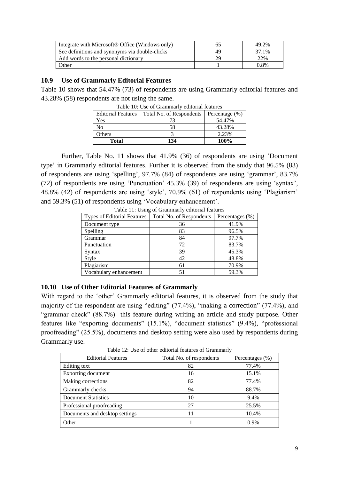| Integrate with Microsoft® Office (Windows only) | 49.2%   |
|-------------------------------------------------|---------|
| See definitions and synonyms via double-clicks  | 37.1%   |
| Add words to the personal dictionary            | 22%     |
| Other                                           | $0.8\%$ |

#### **10.9 Use of Grammarly Editorial Features**

Table 10 shows that 54.47% (73) of respondents are using Grammarly editorial features and 43.28% (58) respondents are not using the same.

| - ~~-- - ~ - ~ ~ <del>~ - ~- ~------</del> |                          |                   |
|--------------------------------------------|--------------------------|-------------------|
| <b>Editorial Features</b>                  | Total No. of Respondents | Percentage $(\%)$ |
| Yes                                        |                          | 54.47%            |
| No                                         | 58                       | 43.28%            |
| Others                                     |                          | 2.23%             |
| <b>Total</b>                               | 134                      | 100%              |

Table 10: Use of Grammarly editorial features

Further, Table No. 11 shows that 41.9% (36) of respondents are using 'Document type' in Grammarly editorial features. Further it is observed from the study that 96.5% (83) of respondents are using 'spelling', 97.7% (84) of respondents are using 'grammar', 83.7% (72) of respondents are using 'Punctuation' 45.3% (39) of respondents are using 'syntax', 48.8% (42) of respondents are using 'style', 70.9% (61) of respondents using 'Plagiarism' and 59.3% (51) of respondents using 'Vocabulary enhancement'.

| $\frac{1}{2}$                      |                          |                 |
|------------------------------------|--------------------------|-----------------|
| <b>Types of Editorial Features</b> | Total No. of Respondents | Percentages (%) |
| Document type                      | 36                       | 41.9%           |
| Spelling                           | 83                       | 96.5%           |
| Grammar                            | 84                       | 97.7%           |
| Punctuation                        | 72                       | 83.7%           |
| Syntax                             | 39                       | 45.3%           |
| Style                              | 42                       | 48.8%           |
| Plagiarism                         | 61                       | 70.9%           |
| Vocabulary enhancement             | 51                       | 59.3%           |

Table 11: Using of Grammarly editorial features

## **10.10 Use of Other Editorial Features of Grammarly**

With regard to the 'other' Grammarly editorial features, it is observed from the study that majority of the respondent are using "editing" (77.4%), "making a correction" (77.4%), and "grammar check" (88.7%) this feature during writing an article and study purpose. Other features like "exporting documents" (15.1%), "document statistics" (9.4%), "professional proofreading" (25.5%), documents and desktop setting were also used by respondents during Grammarly use.

| <b>Editorial Features</b>      | Total No. of respondents | Percentages (%) |
|--------------------------------|--------------------------|-----------------|
| Editing text                   | 82                       | 77.4%           |
| <b>Exporting document</b>      | 16                       | 15.1%           |
| Making corrections             | 82                       | 77.4%           |
| Grammarly checks               | 94                       | 88.7%           |
| <b>Document Statistics</b>     | 10                       | 9.4%            |
| Professional proofreading      | 27                       | 25.5%           |
| Documents and desktop settings | 11                       | 10.4%           |
| Other                          |                          | 0.9%            |

Table 12: Use of other editorial features of Grammarly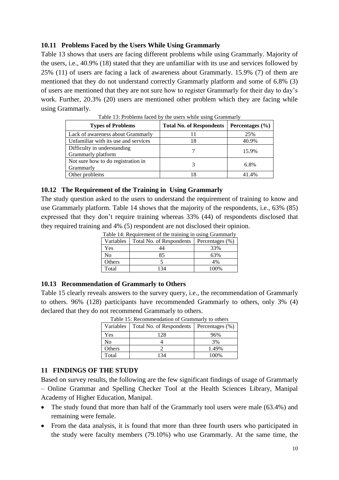## **10.11 Problems Faced by the Users While Using Grammarly**

Table 13 shows that users are facing different problems while using Grammarly. Majority of the users, i.e., 40.9% (18) stated that they are unfamiliar with its use and services followed by 25% (11) of users are facing a lack of awareness about Grammarly. 15.9% (7) of them are mentioned that they do not understand correctly Grammarly platform and some of 6.8% (3) of users are mentioned that they are not sure how to register Grammarly for their day to day's work. Further, 20.3% (20) users are mentioned other problem which they are facing while using Grammarly.

| <b>Types of Problems</b>                          | <b>Total No. of Respondents</b> | Percentages $(\% )$ |
|---------------------------------------------------|---------------------------------|---------------------|
| Lack of awareness about Grammarly                 |                                 | 25%                 |
| Unfamiliar with its use and services              | 18                              | 40.9%               |
| Difficulty in understanding<br>Grammarly platform |                                 | 15.9%               |
| Not sure how to do registration in<br>Grammarly   |                                 | 6.8%                |
| Other problems                                    |                                 |                     |

Table 13: Problems faced by the users while using Grammarly

#### **10.12 The Requirement of the Training in Using Grammarly**

The study question asked to the users to understand the requirement of training to know and use Grammarly platform. Table 14 shows that the majority of the respondents, i.e., 63% (85) expressed that they don't require training whereas 33% (44) of respondents disclosed that they required training and 4% (5) respondent are not disclosed their opinion.

| Table 14: Requirement of the training in using Grammariy |                          |                 |
|----------------------------------------------------------|--------------------------|-----------------|
| Variables                                                | Total No. of Respondents | Percentages (%) |
| Yes                                                      | 44                       | 33%             |
| No                                                       | 85                       | 63%             |
| Others                                                   |                          | 4%              |
| Total                                                    | 134                      | 100%            |

Table 14: Requirement of the training in using Grammarly

#### **10.13 Recommendation of Grammarly to Others**

Table 15 clearly reveals answers to the survey query, i.e., the recommendation of Grammarly to others. 96% (128) participants have recommended Grammarly to others, only 3% (4) declared that they do not recommend Grammarly to others.

| Variables | Table 15: Recommendation of Grammarly to others<br>Total No. of Respondents | Percentages $(\% )$ |
|-----------|-----------------------------------------------------------------------------|---------------------|
| Yes       | 128                                                                         | 96%                 |
| No        |                                                                             | 3%                  |
| Others    |                                                                             | 1.49%               |
| Total     | 34                                                                          | 100%                |

Table 15: Recommendation of Grammarly to others

#### **11 FINDINGS OF THE STUDY**

Based on survey results, the following are the few significant findings of usage of Grammarly – Online Grammar and Spelling Checker Tool at the Health Sciences Library, Manipal Academy of Higher Education, Manipal.

- The study found that more than half of the Grammarly tool users were male (63.4%) and remaining were female.
- From the data analysis, it is found that more than three fourth users who participated in the study were faculty members (79.10%) who use Grammarly. At the same time, the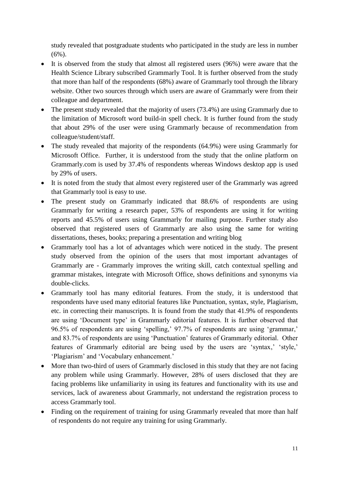study revealed that postgraduate students who participated in the study are less in number (6%).

- It is observed from the study that almost all registered users (96%) were aware that the Health Science Library subscribed Grammarly Tool. It is further observed from the study that more than half of the respondents (68%) aware of Grammarly tool through the library website. Other two sources through which users are aware of Grammarly were from their colleague and department.
- The present study revealed that the majority of users (73.4%) are using Grammarly due to the limitation of Microsoft word build-in spell check. It is further found from the study that about 29% of the user were using Grammarly because of recommendation from colleague/student/staff.
- The study revealed that majority of the respondents (64.9%) were using Grammarly for Microsoft Office. Further, it is understood from the study that the online platform on Grammarly.com is used by 37.4% of respondents whereas Windows desktop app is used by 29% of users.
- It is noted from the study that almost every registered user of the Grammarly was agreed that Grammarly tool is easy to use.
- The present study on Grammarly indicated that 88.6% of respondents are using Grammarly for writing a research paper, 53% of respondents are using it for writing reports and 45.5% of users using Grammarly for mailing purpose. Further study also observed that registered users of Grammarly are also using the same for writing dissertations, theses, books; preparing a presentation and writing blog
- Grammarly tool has a lot of advantages which were noticed in the study. The present study observed from the opinion of the users that most important advantages of Grammarly are - Grammarly improves the writing skill, catch contextual spelling and grammar mistakes, integrate with Microsoft Office, shows definitions and synonyms via double-clicks.
- Grammarly tool has many editorial features. From the study, it is understood that respondents have used many editorial features like Punctuation, syntax, style, Plagiarism, etc. in correcting their manuscripts. It is found from the study that 41.9% of respondents are using 'Document type' in Grammarly editorial features. It is further observed that 96.5% of respondents are using 'spelling,' 97.7% of respondents are using 'grammar,' and 83.7% of respondents are using 'Punctuation' features of Grammarly editorial. Other features of Grammarly editorial are being used by the users are 'syntax,' 'style,' 'Plagiarism' and 'Vocabulary enhancement.'
- More than two-third of users of Grammarly disclosed in this study that they are not facing any problem while using Grammarly. However, 28% of users disclosed that they are facing problems like unfamiliarity in using its features and functionality with its use and services, lack of awareness about Grammarly, not understand the registration process to access Grammarly tool.
- Finding on the requirement of training for using Grammarly revealed that more than half of respondents do not require any training for using Grammarly.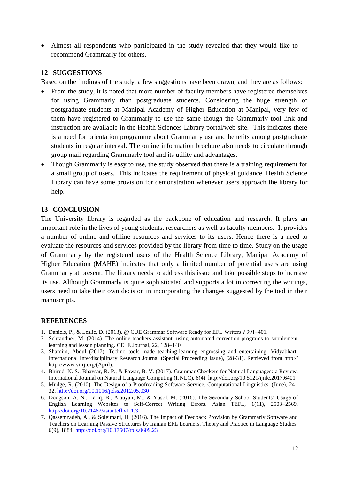• Almost all respondents who participated in the study revealed that they would like to recommend Grammarly for others.

#### **12 SUGGESTIONS**

Based on the findings of the study, a few suggestions have been drawn, and they are as follows:

- From the study, it is noted that more number of faculty members have registered themselves for using Grammarly than postgraduate students. Considering the huge strength of postgraduate students at Manipal Academy of Higher Education at Manipal, very few of them have registered to Grammarly to use the same though the Grammarly tool link and instruction are available in the Health Sciences Library portal/web site. This indicates there is a need for orientation programme about Grammarly use and benefits among postgraduate students in regular interval. The online information brochure also needs to circulate through group mail regarding Grammarly tool and its utility and advantages.
- Though Grammarly is easy to use, the study observed that there is a training requirement for a small group of users. This indicates the requirement of physical guidance. Health Science Library can have some provision for demonstration whenever users approach the library for help.

#### **13 CONCLUSION**

The University library is regarded as the backbone of education and research. It plays an important role in the lives of young students, researchers as well as faculty members. It provides a number of online and offline resources and services to its users. Hence there is a need to evaluate the resources and services provided by the library from time to time. Study on the usage of Grammarly by the registered users of the Health Science Library, Manipal Academy of Higher Education (MAHE) indicates that only a limited number of potential users are using Grammarly at present. The library needs to address this issue and take possible steps to increase its use. Although Grammarly is quite sophisticated and supports a lot in correcting the writings, users need to take their own decision in incorporating the changes suggested by the tool in their manuscripts.

#### **REFERENCES**

- 1. Daniels, P., & Leslie, D. (2013). @ CUE Grammar Software Ready for EFL Writers ? 391–401.
- 2. Schraudner, M. (2014). The online teachers assistant: using automated correction programs to supplement learning and lesson planning. CELE Journal, 22, 128–140
- 3. Shamim, Abdul (2017). Techno tools made teaching-learning engrossing and entertaining. Vidyabharti International Interdisciplinary Research Journal (Special Proceeding Issue), (28-31). Retrieved from http:// http://www.viirj.org/(April).
- 4. Bhirud, N. S., Bhavsar, R. P., & Pawar, B. V. (2017). Grammar Checkers for Natural Languages: a Review. International Journal on Natural Language Computing (IJNLC), 6(4). http://doi.org/10.5121/ijnlc.2017.6401
- 5. Mudge, R. (2010). The Design of a Proofreading Software Service. Computational Linguistics, (June), 24– 32[. http://doi.org/10.1016/j.dss.2012.05.030](http://doi.org/10.1016/j.dss.2012.05.030)
- 6. Dodgson, A. N., Tariq, B., Alauyah, M., & Yusof, M. (2016). The Secondary School Students' Usage of English Learning Websites to Self-Correct Writing Errors. Asian TEFL, 1(11), 2503–2569. <http://doi.org/10.21462/asiantefl.v1i1.3>
- 7. Qassemzadeh, A., & Soleimani, H. (2016). The Impact of Feedback Provision by Grammarly Software and Teachers on Learning Passive Structures by Iranian EFL Learners. Theory and Practice in Language Studies, 6(9), 1884.<http://doi.org/10.17507/tpls.0609.23>